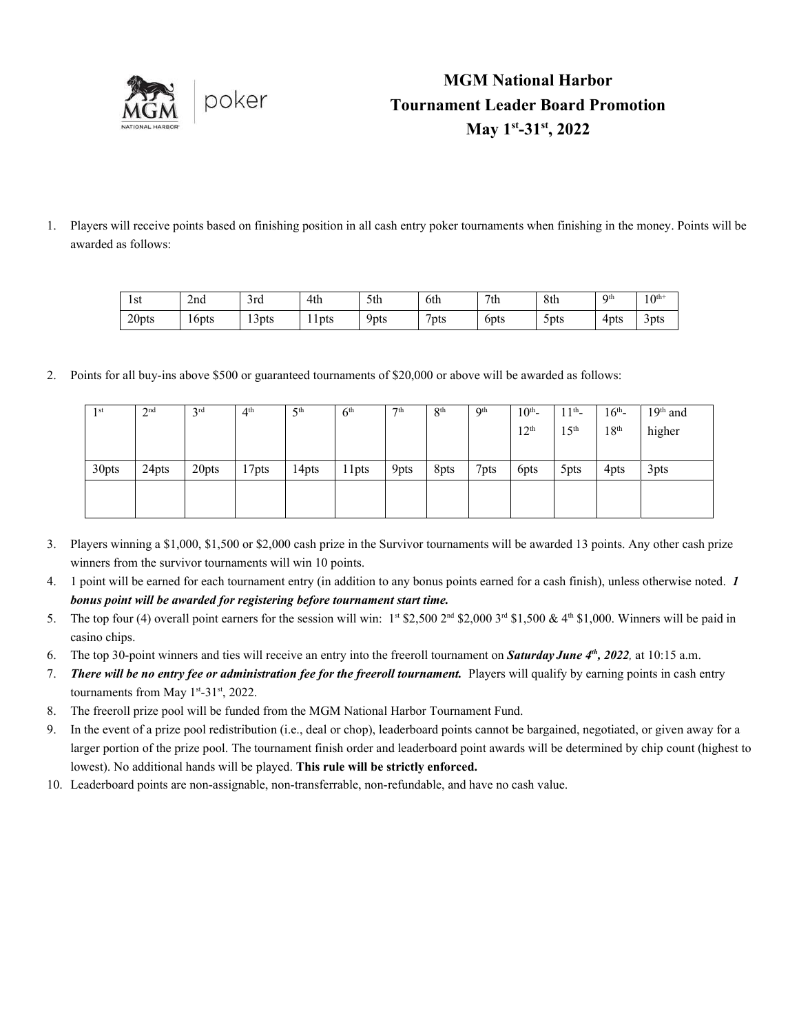

## **MGM National Harbor Tournament Leader Board Promotion May 1 st -31 st, 2022**

1. Players will receive points based on finishing position in all cash entry poker tournaments when finishing in the money. Points will be awarded as follows:

| l st  | 2nd   | $\sim$<br>3rd   | 4th                    | 5th  | 6th                    | 7th          | 8th               | Oth  | $10^{th+}$       |
|-------|-------|-----------------|------------------------|------|------------------------|--------------|-------------------|------|------------------|
| 20pts | 16pts | $\sim$<br>13pts | -4<br>1 <sup>pts</sup> | Ypts | $\overline{ }$<br>'pts | <b>b</b> ots | 5 <sup>pt</sup> s | 4pts | 3 <sub>pts</sub> |

2. Points for all buy-ins above \$500 or guaranteed tournaments of \$20,000 or above will be awarded as follows:

| 1 <sup>st</sup> | 2 <sup>nd</sup> | $3^{\text{rd}}$ | 4 <sup>th</sup> | 5 <sup>th</sup> | 6 <sup>th</sup> | 7th  | 8 <sup>th</sup> | 9 <sup>th</sup> | $10^{th}$ -<br>12 <sup>th</sup> | $11^{th}$ -<br>15 <sup>th</sup> | $16^{th}$ -<br>18 <sup>th</sup> | $19th$ and<br>higher |
|-----------------|-----------------|-----------------|-----------------|-----------------|-----------------|------|-----------------|-----------------|---------------------------------|---------------------------------|---------------------------------|----------------------|
| 30pts           | 24pts           | 20pts           | 17pts           | 14pts           | 11pts           | 9pts | 8pts            | 7pts            | 6pts                            | 5pts                            | 4pts                            | 3pts                 |
|                 |                 |                 |                 |                 |                 |      |                 |                 |                                 |                                 |                                 |                      |

- 3. Players winning a \$1,000, \$1,500 or \$2,000 cash prize in the Survivor tournaments will be awarded 13 points. Any other cash prize winners from the survivor tournaments will win 10 points.
- 4. 1 point will be earned for each tournament entry (in addition to any bonus points earned for a cash finish), unless otherwise noted. *1 bonus point will be awarded for registering before tournament start time.*
- 5. The top four (4) overall point earners for the session will win:  $1<sup>st</sup>$  \$2,500  $2<sup>nd</sup>$  \$2,000  $3<sup>rd</sup>$  \$1,500 & 4<sup>th</sup> \$1,000. Winners will be paid in casino chips.
- 6. The top 30-point winners and ties will receive an entry into the freeroll tournament on *Saturday June 4th , 2022,* at 10:15 a.m.
- 7. *There will be no entry fee or administration fee for the freeroll tournament.* Players will qualify by earning points in cash entry tournaments from May  $1^{st}$ -3 $1^{st}$ , 2022.
- 8. The freeroll prize pool will be funded from the MGM National Harbor Tournament Fund.
- 9. In the event of a prize pool redistribution (i.e., deal or chop), leaderboard points cannot be bargained, negotiated, or given away for a larger portion of the prize pool. The tournament finish order and leaderboard point awards will be determined by chip count (highest to lowest). No additional hands will be played. **This rule will be strictly enforced.**
- 10. Leaderboard points are non-assignable, non-transferrable, non-refundable, and have no cash value.